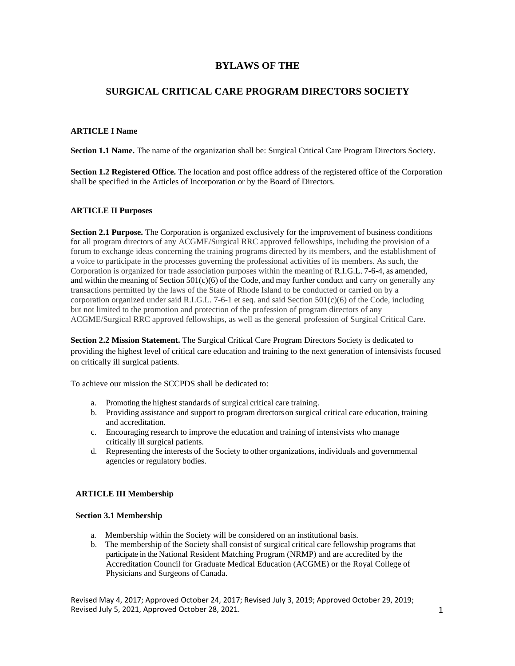# **BYLAWS OF THE**

# **SURGICAL CRITICAL CARE PROGRAM DIRECTORS SOCIETY**

#### **ARTICLE I Name**

**Section 1.1 Name.** The name of the organization shall be: Surgical Critical Care Program Directors Society.

**Section 1.2 Registered Office.** The location and post office address of the registered office of the Corporation shall be specified in the Articles of Incorporation or by the Board of Directors.

## **ARTICLE II Purposes**

**Section 2.1 Purpose.** The Corporation is organized exclusively for the improvement of business conditions for all program directors of any ACGME/Surgical RRC approved fellowships, including the provision of a forum to exchange ideas concerning the training programs directed by its members, and the establishment of a voice to participate in the processes governing the professional activities of its members. As such, the Corporation is organized for trade association purposes within the meaning of R.I.G.L. 7-6-4, as amended, and within the meaning of Section  $501(c)(6)$  of the Code, and may further conduct and carry on generally any transactions permitted by the laws of the State of Rhode Island to be conducted or carried on by a corporation organized under said R.I.G.L. 7-6-1 et seq. and said Section 501(c)(6) of the Code, including but not limited to the promotion and protection of the profession of program directors of any ACGME/Surgical RRC approved fellowships, as well as the general profession of Surgical Critical Care.

**Section 2.2 Mission Statement.** The Surgical Critical Care Program Directors Society is dedicated to providing the highest level of critical care education and training to the next generation of intensivists focused on critically ill surgical patients.

To achieve our mission the SCCPDS shall be dedicated to:

- a. Promoting the highest standards of surgical critical care training.
- b. Providing assistance and support to program directors on surgical critical care education, training and accreditation.
- c. Encouraging research to improve the education and training of intensivists who manage critically ill surgical patients.
- d. Representing the interests of the Society to other organizations, individuals and governmental agencies or regulatory bodies.

## **ARTICLE III Membership**

#### **Section 3.1 Membership**

- a. Membership within the Society will be considered on an institutional basis.
- b. The membership of the Society shall consist of surgical critical care fellowship programs that participate in the National Resident Matching Program (NRMP) and are accredited by the Accreditation Council for Graduate Medical Education (ACGME) or the Royal College of Physicians and Surgeons of Canada.

Revised May 4, 2017; Approved October 24, 2017; Revised July 3, 2019; Approved October 29, 2019; Revised July 5, 2021, Approved October 28, 2021. 1 1 2022 1 2022 1 2022 1 2022 1 2022 1 2022 1 2022 1 2022 1 2022 1 2022 1 2022 1 2022 1 2022 1 2022 1 2022 1 2022 1 2022 1 2022 1 2022 1 2022 1 2022 1 2022 1 2022 1 2022 1 2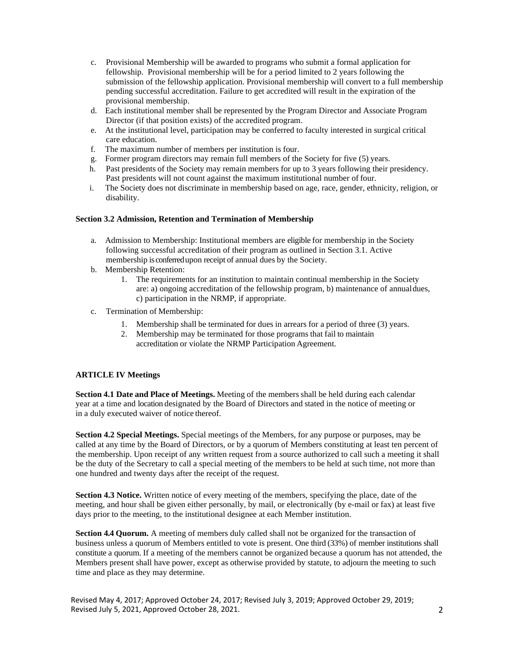- c. Provisional Membership will be awarded to programs who submit a formal application for fellowship. Provisional membership will be for a period limited to 2 years following the submission of the fellowship application. Provisional membership will convert to a full membership pending successful accreditation. Failure to get accredited will result in the expiration of the provisional membership.
- d. Each institutional member shall be represented by the Program Director and Associate Program Director (if that position exists) of the accredited program.
- e. At the institutional level, participation may be conferred to faculty interested in surgical critical care education.
- f. The maximum number of members per institution is four.
- g. Former program directors may remain full members of the Society for five (5) years.
- h. Past presidents of the Society may remain members for up to 3 years following their presidency. Past presidents will not count against the maximum institutional number of four.
- i. The Society does not discriminate in membership based on age, race, gender, ethnicity, religion, or disability.

## **Section 3.2 Admission, Retention and Termination of Membership**

- a. Admission to Membership: Institutional members are eligible for membership in the Society following successful accreditation of their program as outlined in Section 3.1. Active membership is conferredupon receipt of annual dues by the Society.
- b. Membership Retention:
	- 1. The requirements for an institution to maintain continual membership in the Society are: a) ongoing accreditation of the fellowship program, b) maintenance of annualdues, c) participation in the NRMP, if appropriate.
- c. Termination of Membership:
	- 1. Membership shall be terminated for dues in arrears for a period of three (3) years.
	- 2. Membership may be terminated for those programs that fail to maintain accreditation or violate the NRMP Participation Agreement.

## **ARTICLE IV Meetings**

**Section 4.1 Date and Place of Meetings.** Meeting of the members shall be held during each calendar year at a time and location designated by the Board of Directors and stated in the notice of meeting or in a duly executed waiver of notice thereof.

**Section 4.2 Special Meetings.** Special meetings of the Members, for any purpose or purposes, may be called at any time by the Board of Directors, or by a quorum of Members constituting at least ten percent of the membership. Upon receipt of any written request from a source authorized to call such a meeting it shall be the duty of the Secretary to call a special meeting of the members to be held at such time, not more than one hundred and twenty days after the receipt of the request.

**Section 4.3 Notice.** Written notice of every meeting of the members, specifying the place, date of the meeting, and hour shall be given either personally, by mail, or electronically (by e-mail or fax) at least five days prior to the meeting, to the institutional designee at each Member institution.

**Section 4.4 Quorum.** A meeting of members duly called shall not be organized for the transaction of business unless a quorum of Members entitled to vote is present. One third (33%) of member institutions shall constitute a quorum. If a meeting of the members cannot be organized because a quorum has not attended, the Members present shall have power, except as otherwise provided by statute, to adjourn the meeting to such time and place as they may determine.

Revised May 4, 2017; Approved October 24, 2017; Revised July 3, 2019; Approved October 29, 2019; Revised July 5, 2021, Approved October 28, 2021. 2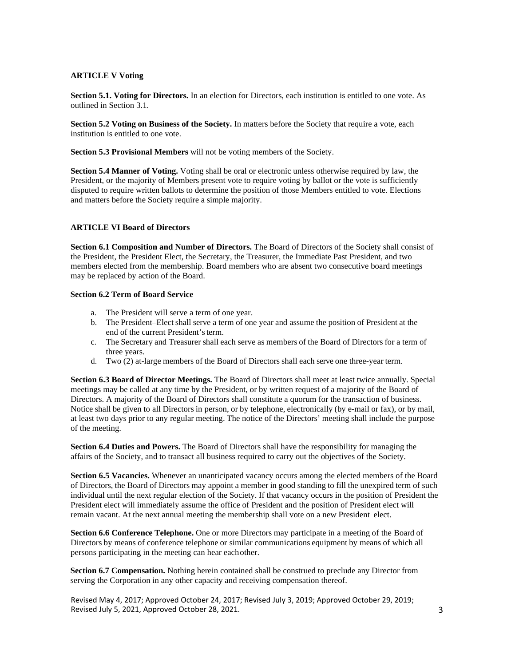## **ARTICLE V Voting**

**Section 5.1. Voting for Directors.** In an election for Directors, each institution is entitled to one vote. As outlined in Section 3.1.

**Section 5.2 Voting on Business of the Society.** In matters before the Society that require a vote, each institution is entitled to one vote.

**Section 5.3 Provisional Members** will not be voting members of the Society.

**Section 5.4 Manner of Voting.** Voting shall be oral or electronic unless otherwise required by law, the President, or the majority of Members present vote to require voting by ballot or the vote is sufficiently disputed to require written ballots to determine the position of those Members entitled to vote. Elections and matters before the Society require a simple majority.

## **ARTICLE VI Board of Directors**

**Section 6.1 Composition and Number of Directors.** The Board of Directors of the Society shall consist of the President, the President Elect, the Secretary, the Treasurer, the Immediate Past President, and two members elected from the membership. Board members who are absent two consecutive board meetings may be replaced by action of the Board.

## **Section 6.2 Term of Board Service**

- a. The President will serve a term of one year.
- b. The President–Elect shall serve a term of one year and assume the position of President at the end of the current President's term.
- c. The Secretary and Treasurer shall each serve as members of the Board of Directors for a term of three years.
- d. Two (2) at-large members of the Board of Directors shall each serve one three-year term.

**Section 6.3 Board of Director Meetings.** The Board of Directors shall meet at least twice annually. Special meetings may be called at any time by the President, or by written request of a majority of the Board of Directors. A majority of the Board of Directors shall constitute a quorum for the transaction of business. Notice shall be given to all Directors in person, or by telephone, electronically (by e-mail or fax), or by mail, at least two days prior to any regular meeting. The notice of the Directors' meeting shall include the purpose of the meeting.

**Section 6.4 Duties and Powers.** The Board of Directors shall have the responsibility for managing the affairs of the Society, and to transact all business required to carry out the objectives of the Society.

**Section 6.5 Vacancies.** Whenever an unanticipated vacancy occurs among the elected members of the Board of Directors, the Board of Directors may appoint a member in good standing to fill the unexpired term of such individual until the next regular election of the Society. If that vacancy occurs in the position of President the President elect will immediately assume the office of President and the position of President elect will remain vacant. At the next annual meeting the membership shall vote on a new President elect.

**Section 6.6 Conference Telephone.** One or more Directors may participate in a meeting of the Board of Directors by means of conference telephone or similar communications equipment by means of which all persons participating in the meeting can hear eachother.

**Section 6.7 Compensation.** Nothing herein contained shall be construed to preclude any Director from serving the Corporation in any other capacity and receiving compensation thereof.

Revised May 4, 2017; Approved October 24, 2017; Revised July 3, 2019; Approved October 29, 2019; Revised July 5, 2021, Approved October 28, 2021. 3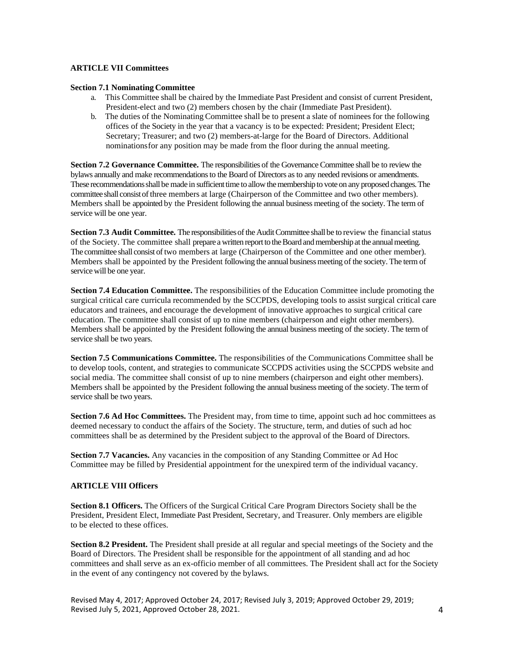## **ARTICLE VII Committees**

## **Section 7.1 Nominating Committee**

- a. This Committee shall be chaired by the Immediate Past President and consist of current President, President-elect and two (2) members chosen by the chair (Immediate Past President).
- b. The duties of the Nominating Committee shall be to present a slate of nominees for the following offices of the Society in the year that a vacancy is to be expected: President; President Elect; Secretary; Treasurer; and two (2) members-at-large for the Board of Directors. Additional nominationsfor any position may be made from the floor during the annual meeting.

**Section 7.2 Governance Committee.** The responsibilities of the Governance Committee shall be to review the bylaws annually and make recommendations to the Board of Directors as to any needed revisions or amendments. These recommendations shall be made in sufficient time to allow the membership to vote on any proposed changes. The committee shall consist of three members at large (Chairperson of the Committee and two other members). Members shall be appointed by the President following the annual business meeting of the society. The term of service will be one year.

**Section <b>7.3** Audit Committee. The responsibilities of the Audit Committee shall be to review the financial status of the Society. The committee shall prepare a written report to the Board and membership at the annual meeting. The committee shall consist oftwo members at large (Chairperson of the Committee and one other member). Members shall be appointed by the President following the annual business meeting of the society. The term of service will be one year.

**Section 7.4 Education Committee.** The responsibilities of the Education Committee include promoting the surgical critical care curricula recommended by the SCCPDS, developing tools to assist surgical critical care educators and trainees, and encourage the development of innovative approaches to surgical critical care education. The committee shall consist of up to nine members (chairperson and eight other members). Members shall be appointed by the President following the annual business meeting of the society. The term of service shall be two years.

**Section 7.5 Communications Committee.** The responsibilities of the Communications Committee shall be to develop tools, content, and strategies to communicate SCCPDS activities using the SCCPDS website and social media. The committee shall consist of up to nine members (chairperson and eight other members). Members shall be appointed by the President following the annual business meeting of the society. The term of service shall be two years.

**Section 7.6 Ad Hoc Committees.** The President may, from time to time, appoint such ad hoc committees as deemed necessary to conduct the affairs of the Society. The structure, term, and duties of such ad hoc committees shall be as determined by the President subject to the approval of the Board of Directors.

**Section 7.7 Vacancies.** Any vacancies in the composition of any Standing Committee or Ad Hoc Committee may be filled by Presidential appointment for the unexpired term of the individual vacancy.

## **ARTICLE VIII Officers**

**Section 8.1 Officers.** The Officers of the Surgical Critical Care Program Directors Society shall be the President, President Elect, Immediate Past President, Secretary, and Treasurer. Only members are eligible to be elected to these offices.

**Section 8.2 President.** The President shall preside at all regular and special meetings of the Society and the Board of Directors. The President shall be responsible for the appointment of all standing and ad hoc committees and shall serve as an ex-officio member of all committees. The President shall act for the Society in the event of any contingency not covered by the bylaws.

Revised May 4, 2017; Approved October 24, 2017; Revised July 3, 2019; Approved October 29, 2019; Revised July 5, 2021, Approved October 28, 2021. 4